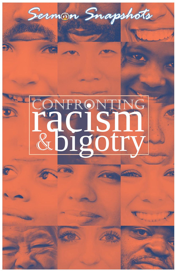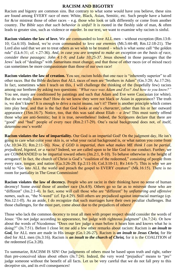#### **RACISM AND BIGOTRY**

Racism and bigotry are common sins. But contrary to what some would have you believe, these sins are found among EVERY race of men: White, Black, Asian, Semitic, etc. Such people have a hatred for  $\&$ /or mistreat those of other races – e.g. those who look or talk differently or come from another country. *The Bible says that such behavior is sinful!* It is rooted in the fleshly side of man, & often leads to greater sins, such as violence or murder. In our text, we want to examine why racism is sinful.

**Racism violates the law of love.** We are commanded to love ALL men – without exception (Rm.13:8-10; Ga.6:10). Indeed, we're even commanded to love our *enemies* (Mt.5:44-48; Rm.12:18-21). The Lord also said that we are to treat others as we wish to be treated – which is what some call "the golden" rule" (Lk.6:31; cf. v.27-36). *And, in case you are tempted to make an exception on the basis of race, consider these passages: John 4:1-9; and Luke 10:25-37.* Jesus showed in those passages that the Jews' lack of "dealings" with **Samaritans must change; and that those of other races** (or of mixed race) can sometimes be more compassionate than those of our own race!

Racism violates the law of creation. You see, racism holds that one race is "inherently superior" to all other races. But the Bible declares that ALL races of men are "brothers in Adam" (Gn.3:20; Ac.17:26). In fact, sometimes when I teach on this, I will challenge the thinking of the (hopefully few) racists among our brethren by asking two questions: *"What race was Adam and Eve? And how to you know?"* You see, many are conditioned by paintings and such that Adam and Eve were Caucasian (or white). But do we really know that? How do we know they were not black or Asian in appearance? The truth is, we don't know! It is enough to drive a racist insane, isn't it? There is another principle which comes into play here, and that is the fact that God looks at one's *character,* rather than his or her outward appearance (1Sm.16:7). Notice, too, that this was said about Eliab *– a Jew!* This must surely offend those who are anti-Semitic; but it is true, nevertheless! Indeed, the Scriptures declare that there are "good" and "bad" people of every race (Rm.2:17-29). One's racial background does not, of itself, determine one's worth!

**Racism violates the law of impartiality.** Our God is an impartial God! On the judgment day, He isn't going to care what color your skin is, or what your racial background is, or what nation you come from (Ac.10:34-35; Rm.2:11-16). *Now, if GOD is impartial, then what makes ME think I can be partial, prejudiced, bigoted, or a racist?* Indeed, we are called upon to be like God in our conduct. Further, we are COMMANDED to be impartial toward others (Jm.2:1, 8-10). To behave otherwise is the height of arrogance! In fact, the church of Christ is God's "coalition of the redeemed," consisting of people from every race, tongue, and nation (Ga.3:26-29; Ep.2:11-16; Col.3:10-11; Rv.14:6-7). This is why we are told to "Go into ALL the world and preach the gospel to EVERY creature" (Mk.16:15). There is no room for partiality in The Great Commission!

**Racism violates the law of decency.** People who are racist in their thinking have no sense of human decency! Some *avoid* those of another race (Jn.4:9). Others go so far as to *mistreat* those who are "different" (Jm.2:1-4). In fact, some will call those who are "different" by *unflattering and offensive names,* such as, "the N-word" (cf. Ep.4:29). Still others are prejudiced against interracial marriage (cp. Nm.12:1-ff). As an aside, I do recognize that such marriages have their own peculiar challenges. But those challenges, for the most part, come about due to the prejudices of others!

Those who lack the common decency to treat all men with proper respect should consider the words of Jesus: "Do not judge according to appearance, but judge with righteous judgment" (Jn.7:24). Or how about the words of Nicodemus: "Does our law judge a man before it hears him and knows what he is doing?" (Jn.7:51). Before I close let me add a few other remarks about racism: Racism is *an insult to God,* for ALL men are made in His image (Gn.1:26-27). Racism is *an insult to Jesus Christ,* for He died for ALL men (Jn.3:16). Racism is *an insult to the church of Christ,* for it is the COALITION of the redeemed (Ga.3:28).

To summarize, RACISM IS SIN! Our judgments of others must be based upon truth and right, rather than pre-conceived ideas about others (Jn.7:24). Indeed, the very word "prejudice" means to "pre" judge someone without the benefit of all facts. Let us be very careful that we do not fall prey to this deceptive sin, and its evil consequences!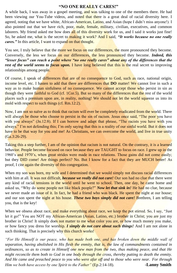#### **"NO ONE REALLY CARES!"**

A while back, I was away in a gospel meeting, and was talking to one of the members there. He had been viewing our You-Tube videos, and noted that there is a great deal of racial diversity here. I agreed, noting that we have white, African-American, Latino, and Asian (hope I didn't miss anyone!). I also pointed out that we have rich, poor, male, female, military, civilian, executives, and common laborers. My friend asked me how does all of this diversity work for us, and I said it works just fine! So, he asked me, what is the secret to making it work? And I said, *"It works because no one really cares.*" In this article, I want to expand on that thought.

You see, I truly believe that the more we focus on our differences, the more pronounced they become. Conversely, the less we focus on our differences, the less pronounced they become. *Indeed, this "lesser focus" can reach a point where "no one really cares" about any of the differences that the rest of the world seems to focus upon.* I have long believed that this is the real secret to improving relationships among people.

Of course, I speak of differences that are of no consequence to God, such as race, national origin, income level, etc. I hasten to add that there are differences that **DO** matter! We cannot live in such a way as to make human sinfulness of no consequence. We cannot accept those who persist in sin as though they were faithful to God (cf. 1Cor.5). But so many of the differences that the rest of the world places such a premium upon are, in reality, nothing! We should not let the world squeeze us into its mold with respect to such things (cf. Rm.12:2).

Now, I am not so naïve as to think that racism will ever be completely eradicated from the world. There will always be those who choose to persist in the sin of racism. Jesus once said, "The poor you have with you always" (Jn.12:8). If I can borrow and adapt that phrase, "The racists you have with you always." I'm not defending this; I'm only saying that this is a reality of our sinful world. But it does not have to be that way for you and me! As Christians, we can overcome the world, and live in true unity (Ga.3:26-29).

Taking this a step further, I am of the opinion that racism is not natural. On the contrary, it is a learned behavior. People become focused on race because they are TAUGHT to focus on race. I grew up in the 1960's and 1970's, when great strides were made in race relations. Those gains did not come easily; but they **DID** come! Are things perfect? No. But I know for a fact that they are MUCH better! As proof, I cite again the diversity of this congregation.

When my son was born, my wife and I determined that we would simply not discuss racial differences with him at all. It was not difficult, *because we really did not care!* Our son had no clue that there were any kind of racial tensions in the world until he went to school. Then, one day, he came home and asked us, "Why do some people not like black people?" *Now let that sink in!* He had no clue, because we never made an issue of it. In fact, he had a friend who was black. He spent the night at our house; and our son spent the night at his house. *These two boys simply did not care!* Brethren, I am telling you, that is the key!

When we obsess about race, and make everything about race, we keep the pot stirred. So, I say, "Just let it go!" You are NOT my African-American (Asian, Latino, etc.) brother in Christ; you are just my brother in Christ! It simply does not matter to me what color you are, or how much money you make, or how fancy you dress for worship. *I simply do not care about such things!* And I am not alone in such thinking. That is precisely why this church works!

*"For He Himself is our peace, who has made both one, and has broken down the middle wall of separation, having abolished in His flesh the enmity, that is, the law of commandments contained in ordinances, so as to create in Himself one new man from the two, thus making peace, and that He might reconcile them both to God in one body through the cross, thereby putting to death the enmity. And He came and preached peace to you who were afar off and to those who were near. For through Him we both have access by one Spirit to the Father"* (Ep.2:14-18). **-Lanny Smith**